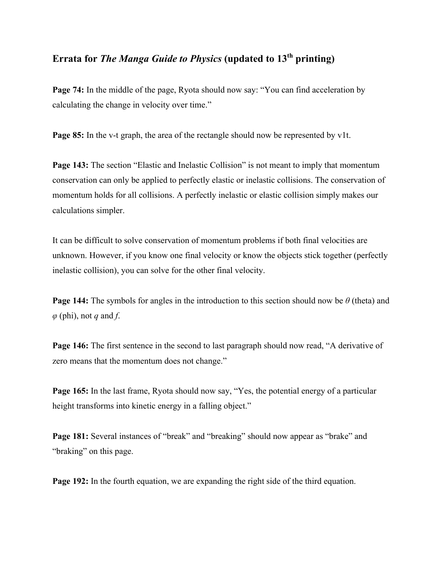## **Errata for** *The Manga Guide to Physics* **(updated to 13th printing)**

**Page 74:** In the middle of the page, Ryota should now say: "You can find acceleration by calculating the change in velocity over time."

**Page 85:** In the v-t graph, the area of the rectangle should now be represented by v1t.

**Page 143:** The section "Elastic and Inelastic Collision" is not meant to imply that momentum conservation can only be applied to perfectly elastic or inelastic collisions. The conservation of momentum holds for all collisions. A perfectly inelastic or elastic collision simply makes our calculations simpler.

It can be difficult to solve conservation of momentum problems if both final velocities are unknown. However, if you know one final velocity or know the objects stick together (perfectly inelastic collision), you can solve for the other final velocity.

**Page 144:** The symbols for angles in the introduction to this section should now be *θ* (theta) and *φ* (phi), not *q* and *f*.

**Page 146:** The first sentence in the second to last paragraph should now read, "A derivative of zero means that the momentum does not change."

**Page 165:** In the last frame, Ryota should now say, "Yes, the potential energy of a particular height transforms into kinetic energy in a falling object."

**Page 181:** Several instances of "break" and "breaking" should now appear as "brake" and "braking" on this page.

**Page 192:** In the fourth equation, we are expanding the right side of the third equation.